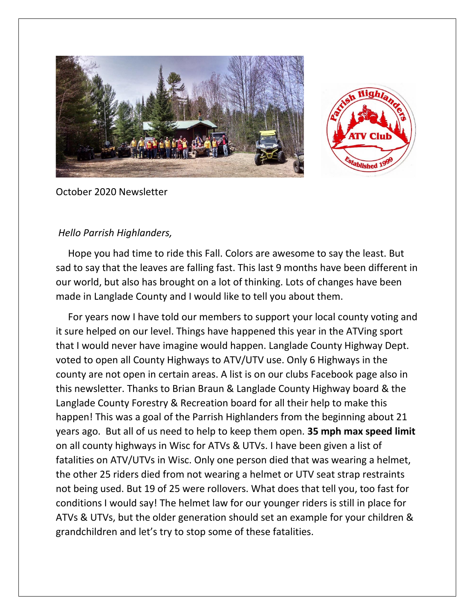



October 2020 Newsletter

## *Hello Parrish Highlanders,*

 Hope you had time to ride this Fall. Colors are awesome to say the least. But sad to say that the leaves are falling fast. This last 9 months have been different in our world, but also has brought on a lot of thinking. Lots of changes have been made in Langlade County and I would like to tell you about them.

 For years now I have told our members to support your local county voting and it sure helped on our level. Things have happened this year in the ATVing sport that I would never have imagine would happen. Langlade County Highway Dept. voted to open all County Highways to ATV/UTV use. Only 6 Highways in the county are not open in certain areas. A list is on our clubs Facebook page also in this newsletter. Thanks to Brian Braun & Langlade County Highway board & the Langlade County Forestry & Recreation board for all their help to make this happen! This was a goal of the Parrish Highlanders from the beginning about 21 years ago. But all of us need to help to keep them open. **35 mph max speed limit** on all county highways in Wisc for ATVs & UTVs. I have been given a list of fatalities on ATV/UTVs in Wisc. Only one person died that was wearing a helmet, the other 25 riders died from not wearing a helmet or UTV seat strap restraints not being used. But 19 of 25 were rollovers. What does that tell you, too fast for conditions I would say! The helmet law for our younger riders is still in place for ATVs & UTVs, but the older generation should set an example for your children & grandchildren and let's try to stop some of these fatalities.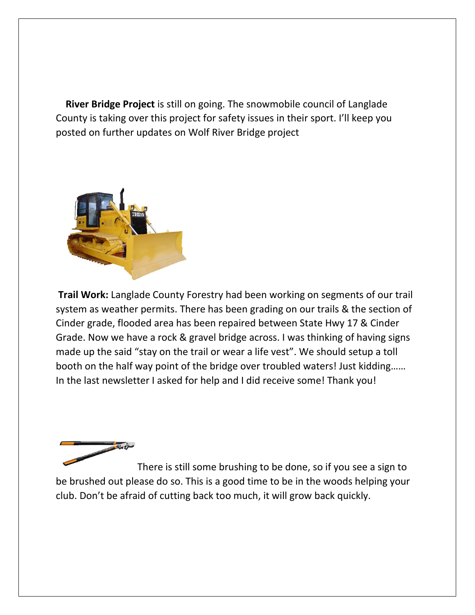**River Bridge Project** is still on going. The snowmobile council of Langlade County is taking over this project for safety issues in their sport. I'll keep you posted on further updates on Wolf River Bridge project



**Trail Work:** Langlade County Forestry had been working on segments of our trail system as weather permits. There has been grading on our trails & the section of Cinder grade, flooded area has been repaired between State Hwy 17 & Cinder Grade. Now we have a rock & gravel bridge across. I was thinking of having signs made up the said "stay on the trail or wear a life vest". We should setup a toll booth on the half way point of the bridge over troubled waters! Just kidding…… In the last newsletter I asked for help and I did receive some! Thank you!



There is still some brushing to be done, so if you see a sign to be brushed out please do so. This is a good time to be in the woods helping your club. Don't be afraid of cutting back too much, it will grow back quickly.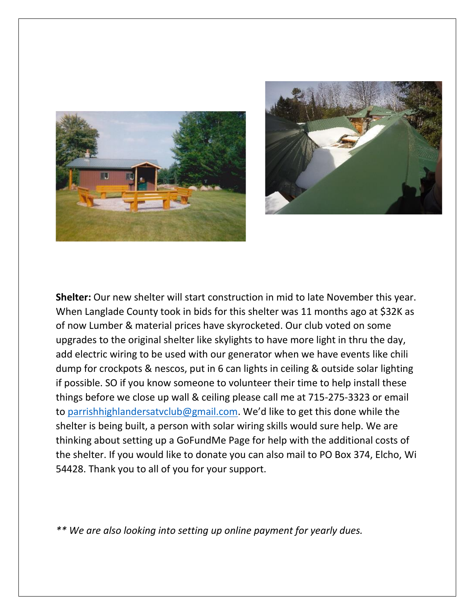



**Shelter:** Our new shelter will start construction in mid to late November this year. When Langlade County took in bids for this shelter was 11 months ago at \$32K as of now Lumber & material prices have skyrocketed. Our club voted on some upgrades to the original shelter like skylights to have more light in thru the day, add electric wiring to be used with our generator when we have events like chili dump for crockpots & nescos, put in 6 can lights in ceiling & outside solar lighting if possible. SO if you know someone to volunteer their time to help install these things before we close up wall & ceiling please call me at 715-275-3323 or email to parrishhighlandersatyclub@gmail.com. We'd like to get this done while the shelter is being built, a person with solar wiring skills would sure help. We are thinking about setting up a GoFundMe Page for help with the additional costs of the shelter. If you would like to donate you can also mail to PO Box 374, Elcho, Wi 54428. Thank you to all of you for your support.

*\*\* We are also looking into setting up online payment for yearly dues.*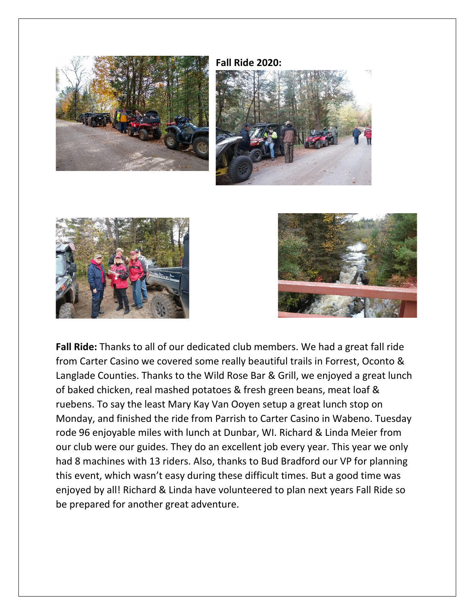

**Fall Ride 2020:**







**Fall Ride:** Thanks to all of our dedicated club members. We had a great fall ride from Carter Casino we covered some really beautiful trails in Forrest, Oconto & Langlade Counties. Thanks to the Wild Rose Bar & Grill, we enjoyed a great lunch of baked chicken, real mashed potatoes & fresh green beans, meat loaf & ruebens. To say the least Mary Kay Van Ooyen setup a great lunch stop on Monday, and finished the ride from Parrish to Carter Casino in Wabeno. Tuesday rode 96 enjoyable miles with lunch at Dunbar, WI. Richard & Linda Meier from our club were our guides. They do an excellent job every year. This year we only had 8 machines with 13 riders. Also, thanks to Bud Bradford our VP for planning this event, which wasn't easy during these difficult times. But a good time was enjoyed by all! Richard & Linda have volunteered to plan next years Fall Ride so be prepared for another great adventure.